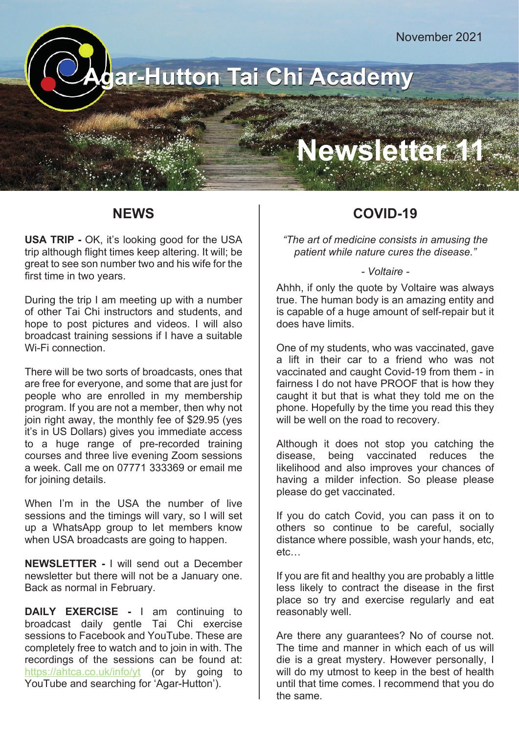**Agar-Hutton Tai Chi Academy**

# Newsletter!

### **NEWS**

**USA TRIP -** OK, it's looking good for the USA trip although flight times keep altering. It will; be great to see son number two and his wife for the first time in two years.

During the trip I am meeting up with a number of other Tai Chi instructors and students, and hope to post pictures and videos. I will also broadcast training sessions if I have a suitable Wi-Fi connection.

There will be two sorts of broadcasts, ones that are free for everyone, and some that are just for people who are enrolled in my membership program. If you are not a member, then why not join right away, the monthly fee of \$29.95 (yes it's in US Dollars) gives you immediate access to a huge range of pre-recorded training courses and three live evening Zoom sessions a week. Call me on 07771 333369 or email me for joining details.

When I'm in the USA the number of live sessions and the timings will vary, so I will set up a WhatsApp group to let members know when USA broadcasts are going to happen.

**NEWSLETTER -** I will send out a December newsletter but there will not be a January one. Back as normal in February.

**DAILY EXERCISE -** I am continuing to broadcast daily gentle Tai Chi exercise sessions to Facebook and YouTube. These are completely free to watch and to join in with. The recordings of the sessions can be found at: https://ahtca.co.uk/info/yt (or by going to YouTube and searching for 'Agar-Hutton').

### **COVID-19**

*"The art of medicine consists in amusing the patient while nature cures the disease."*

#### *- Voltaire -*

Ahhh, if only the quote by Voltaire was always true. The human body is an amazing entity and is capable of a huge amount of self-repair but it does have limits.

One of my students, who was vaccinated, gave a lift in their car to a friend who was not vaccinated and caught Covid-19 from them - in fairness I do not have PROOF that is how they caught it but that is what they told me on the phone. Hopefully by the time you read this they will be well on the road to recovery.

Although it does not stop you catching the disease, being vaccinated reduces the likelihood and also improves your chances of having a milder infection. So please please please do get vaccinated.

If you do catch Covid, you can pass it on to others so continue to be careful, socially distance where possible, wash your hands, etc, etc…

If you are fit and healthy you are probably a little less likely to contract the disease in the first place so try and exercise regularly and eat reasonably well.

Are there any guarantees? No of course not. The time and manner in which each of us will die is a great mystery. However personally, I will do my utmost to keep in the best of health until that time comes. I recommend that you do the same.